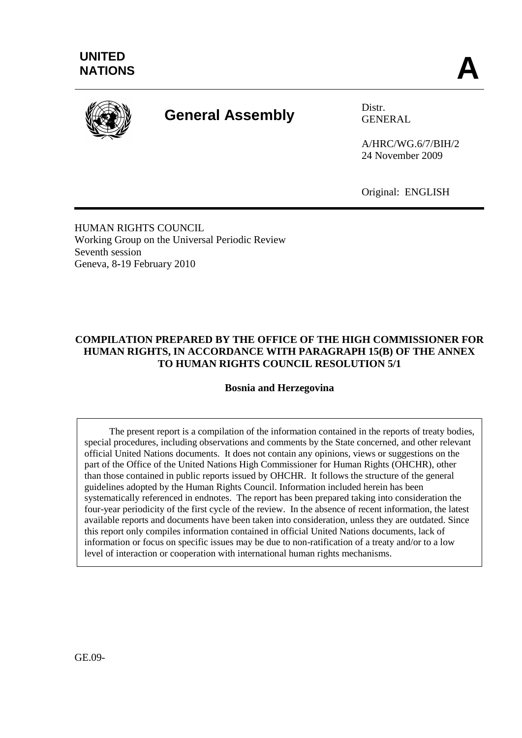

# **General Assembly** Distr.

GENERAL

A/HRC/WG.6/7/BIH/2 24 November 2009

Original: ENGLISH

HUMAN RIGHTS COUNCIL Working Group on the Universal Periodic Review Seventh session Geneva, 8**-**19 February 2010

# **COMPILATION PREPARED BY THE OFFICE OF THE HIGH COMMISSIONER FOR HUMAN RIGHTS, IN ACCORDANCE WITH PARAGRAPH 15(B) OF THE ANNEX TO HUMAN RIGHTS COUNCIL RESOLUTION 5/1**

**Bosnia and Herzegovina**

The present report is a compilation of the information contained in the reports of treaty bodies, special procedures, including observations and comments by the State concerned, and other relevant official United Nations documents. It does not contain any opinions, views or suggestions on the part of the Office of the United Nations High Commissioner for Human Rights (OHCHR), other than those contained in public reports issued by OHCHR. It follows the structure of the general guidelines adopted by the Human Rights Council. Information included herein has been systematically referenced in endnotes. The report has been prepared taking into consideration the four-year periodicity of the first cycle of the review. In the absence of recent information, the latest available reports and documents have been taken into consideration, unless they are outdated. Since this report only compiles information contained in official United Nations documents, lack of information or focus on specific issues may be due to non-ratification of a treaty and/or to a low level of interaction or cooperation with international human rights mechanisms.

GE.09-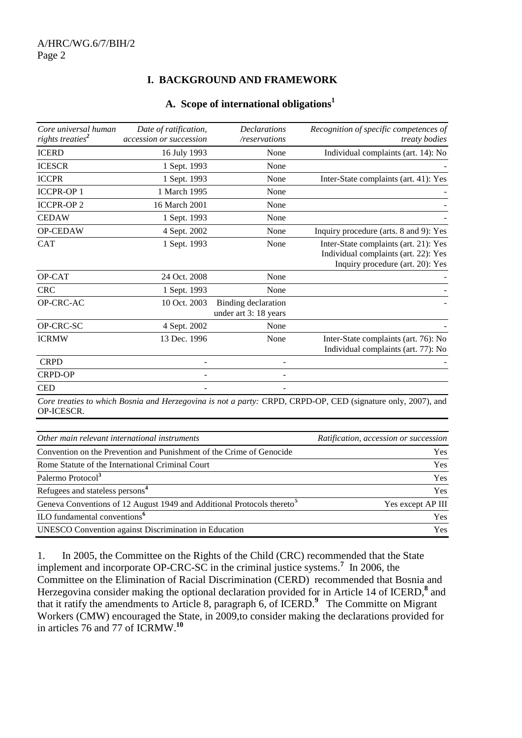# **I. BACKGROUND AND FRAMEWORK**

#### **A. Scope of international obligations<sup>1</sup>**

| Core universal human<br>rights treaties <sup>2</sup> | Date of ratification,<br>accession or succession | <b>Declarations</b><br>/reservations                | Recognition of specific competences of<br><i>treaty bodies</i>                                                    |
|------------------------------------------------------|--------------------------------------------------|-----------------------------------------------------|-------------------------------------------------------------------------------------------------------------------|
| <b>ICERD</b>                                         | 16 July 1993                                     | None                                                | Individual complaints (art. 14): No                                                                               |
| <b>ICESCR</b>                                        | 1 Sept. 1993                                     | None                                                |                                                                                                                   |
| <b>ICCPR</b>                                         | 1 Sept. 1993                                     | None                                                | Inter-State complaints (art. 41): Yes                                                                             |
| <b>ICCPR-OP1</b>                                     | 1 March 1995                                     | None                                                |                                                                                                                   |
| <b>ICCPR-OP2</b>                                     | 16 March 2001                                    | None                                                |                                                                                                                   |
| <b>CEDAW</b>                                         | 1 Sept. 1993                                     | None                                                |                                                                                                                   |
| OP-CEDAW                                             | 4 Sept. 2002                                     | None                                                | Inquiry procedure (arts. 8 and 9): Yes                                                                            |
| <b>CAT</b>                                           | 1 Sept. 1993                                     | None                                                | Inter-State complaints (art. 21): Yes<br>Individual complaints (art. 22): Yes<br>Inquiry procedure (art. 20): Yes |
| OP-CAT                                               | 24 Oct. 2008                                     | None                                                |                                                                                                                   |
| <b>CRC</b>                                           | 1 Sept. 1993                                     | None                                                |                                                                                                                   |
| OP-CRC-AC                                            | 10 Oct. 2003                                     | <b>Binding declaration</b><br>under art 3: 18 years |                                                                                                                   |
| OP-CRC-SC                                            | 4 Sept. 2002                                     | None                                                |                                                                                                                   |
| <b>ICRMW</b>                                         | 13 Dec. 1996                                     | None                                                | Inter-State complaints (art. 76): No<br>Individual complaints (art. 77): No                                       |
| <b>CRPD</b>                                          |                                                  |                                                     |                                                                                                                   |
| <b>CRPD-OP</b>                                       |                                                  |                                                     |                                                                                                                   |
| <b>CED</b>                                           |                                                  |                                                     |                                                                                                                   |

*Core treaties to which Bosnia and Herzegovina is not a party:* CRPD, CRPD-OP, CED (signature only, 2007), and OP-ICESCR.

| Other main relevant international instruments                                      | Ratification, accession or succession |
|------------------------------------------------------------------------------------|---------------------------------------|
| Convention on the Prevention and Punishment of the Crime of Genocide               | <b>Yes</b>                            |
| Rome Statute of the International Criminal Court                                   | Yes                                   |
| Palermo Protocol <sup>3</sup>                                                      | <b>Yes</b>                            |
| Refugees and stateless persons <sup>4</sup>                                        | Yes                                   |
| Geneva Conventions of 12 August 1949 and Additional Protocols thereto <sup>5</sup> | Yes except AP III                     |
| ILO fundamental conventions <sup>6</sup>                                           | <b>Yes</b>                            |
| <b>UNESCO</b> Convention against Discrimination in Education                       | <b>Yes</b>                            |

1. In 2005, the Committee on the Rights of the Child (CRC) recommended that the State implement and incorporate OP-CRC-SC in the criminal justice systems.**<sup>7</sup>** In 2006, the Committee on the Elimination of Racial Discrimination (CERD) recommended that Bosnia and Herzegovina consider making the optional declaration provided for in Article 14 of ICERD,<sup>8</sup> and that it ratify the amendments to Article 8, paragraph 6, of ICERD. **9** The Committe on Migrant Workers (CMW) encouraged the State, in 2009,to consider making the declarations provided for in articles 76 and 77 of ICRMW. **10**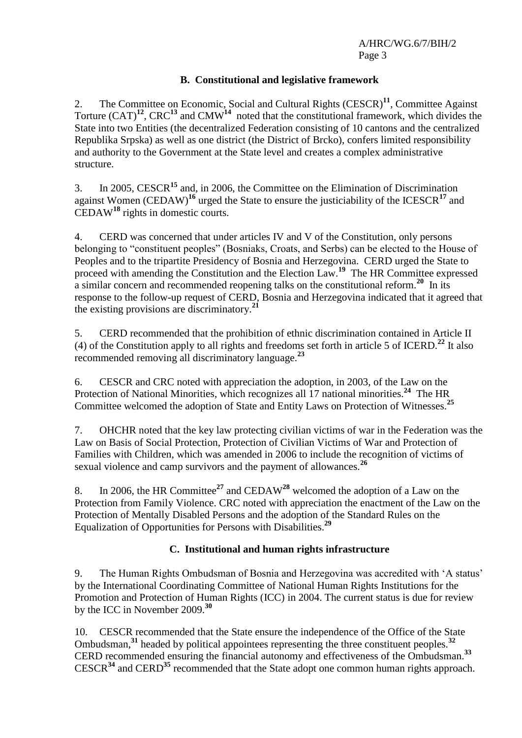## **B. Constitutional and legislative framework**

2. The Committee on Economic, Social and Cultural Rights (CESCR)**<sup>11</sup>**, Committee Against Torture  $(CAT)^{12}$ ,  $CRC^{13}$  and  $CMW^{14}$  noted that the constitutional framework, which divides the State into two Entities (the decentralized Federation consisting of 10 cantons and the centralized Republika Srpska) as well as one district (the District of Brcko), confers limited responsibility and authority to the Government at the State level and creates a complex administrative structure.

3. In 2005, CESCR**<sup>15</sup>** and, in 2006, the Committee on the Elimination of Discrimination against Women (CEDAW)**<sup>16</sup>** urged the State to ensure the justiciability of the ICESCR**<sup>17</sup>** and CEDAW**<sup>18</sup>** rights in domestic courts.

4. CERD was concerned that under articles IV and V of the Constitution, only persons belonging to "constituent peoples" (Bosniaks, Croats, and Serbs) can be elected to the House of Peoples and to the tripartite Presidency of Bosnia and Herzegovina. CERD urged the State to proceed with amending the Constitution and the Election Law.**<sup>19</sup>** The HR Committee expressed a similar concern and recommended reopening talks on the constitutional reform.**<sup>20</sup>** In its response to the follow-up request of CERD, Bosnia and Herzegovina indicated that it agreed that the existing provisions are discriminatory.**<sup>21</sup>**

5. CERD recommended that the prohibition of ethnic discrimination contained in Article II (4) of the Constitution apply to all rights and freedoms set forth in article 5 of ICERD.**<sup>22</sup>** It also recommended removing all discriminatory language.**<sup>23</sup>**

6. CESCR and CRC noted with appreciation the adoption, in 2003, of the Law on the Protection of National Minorities, which recognizes all 17 national minorities.<sup>24</sup> The HR Committee welcomed the adoption of State and Entity Laws on Protection of Witnesses.<sup>25</sup>

7. OHCHR noted that the key law protecting civilian victims of war in the Federation was the Law on Basis of Social Protection, Protection of Civilian Victims of War and Protection of Families with Children, which was amended in 2006 to include the recognition of victims of sexual violence and camp survivors and the payment of allowances.**<sup>26</sup>**

8. In 2006, the HR Committee**<sup>27</sup>** and CEDAW**<sup>28</sup>** welcomed the adoption of a Law on the Protection from Family Violence. CRC noted with appreciation the enactment of the Law on the Protection of Mentally Disabled Persons and the adoption of the Standard Rules on the Equalization of Opportunities for Persons with Disabilities.**<sup>29</sup>**

# **C. Institutional and human rights infrastructure**

9. The Human Rights Ombudsman of Bosnia and Herzegovina was accredited with "A status" by the International Coordinating Committee of National Human Rights Institutions for the Promotion and Protection of Human Rights (ICC) in 2004. The current status is due for review by the ICC in November 2009.**<sup>30</sup>**

10. CESCR recommended that the State ensure the independence of the Office of the State Ombudsman,**<sup>31</sup>** headed by political appointees representing the three constituent peoples.**<sup>32</sup>** CERD recommended ensuring the financial autonomy and effectiveness of the Ombudsman.**<sup>33</sup>** CESCR**<sup>34</sup>** and CERD**<sup>35</sup>** recommended that the State adopt one common human rights approach.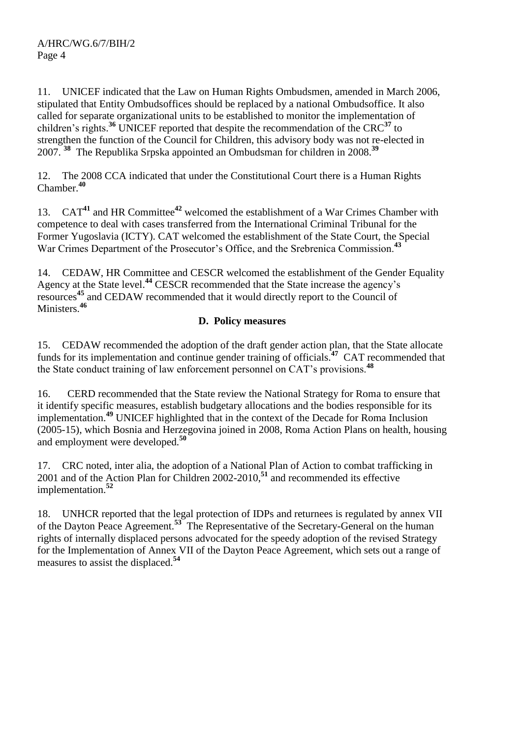11. UNICEF indicated that the Law on Human Rights Ombudsmen, amended in March 2006, stipulated that Entity Ombudsoffices should be replaced by a national Ombudsoffice. It also called for separate organizational units to be established to monitor the implementation of children"s rights. **<sup>36</sup>** UNICEF reported that despite the recommendation of the CRC**<sup>37</sup>** to strengthen the function of the Council for Children, this advisory body was not re-elected in 2007. **<sup>38</sup>** The Republika Srpska appointed an Ombudsman for children in 2008.**<sup>39</sup>**

12. The 2008 CCA indicated that under the Constitutional Court there is a Human Rights Chamber. **40**

13. CAT**<sup>41</sup>** and HR Committee**<sup>42</sup>** welcomed the establishment of a War Crimes Chamber with competence to deal with cases transferred from the International Criminal Tribunal for the Former Yugoslavia (ICTY). CAT welcomed the establishment of the State Court, the Special War Crimes Department of the Prosecutor's Office, and the Srebrenica Commission.<sup>43</sup>

14. CEDAW, HR Committee and CESCR welcomed the establishment of the Gender Equality Agency at the State level.**<sup>44</sup>** CESCR recommended that the State increase the agency"s resources **<sup>45</sup>** and CEDAW recommended that it would directly report to the Council of Ministers.**<sup>46</sup>**

# **D. Policy measures**

15. CEDAW recommended the adoption of the draft gender action plan, that the State allocate funds for its implementation and continue gender training of officials.**<sup>47</sup>** CAT recommended that the State conduct training of law enforcement personnel on CAT"s provisions.**<sup>48</sup>**

16. CERD recommended that the State review the National Strategy for Roma to ensure that it identify specific measures, establish budgetary allocations and the bodies responsible for its implementation.**<sup>49</sup>** UNICEF highlighted that in the context of the Decade for Roma Inclusion (2005-15), which Bosnia and Herzegovina joined in 2008, Roma Action Plans on health, housing and employment were developed.**<sup>50</sup>**

17. CRC noted, inter alia, the adoption of a National Plan of Action to combat trafficking in 2001 and of the Action Plan for Children 2002-2010,**<sup>51</sup>** and recommended its effective implementation.**<sup>52</sup>**

18. UNHCR reported that the legal protection of IDPs and returnees is regulated by annex VII of the Dayton Peace Agreement.**<sup>53</sup>** The Representative of the Secretary-General on the human rights of internally displaced persons advocated for the speedy adoption of the revised Strategy for the Implementation of Annex VII of the Dayton Peace Agreement, which sets out a range of measures to assist the displaced. **54**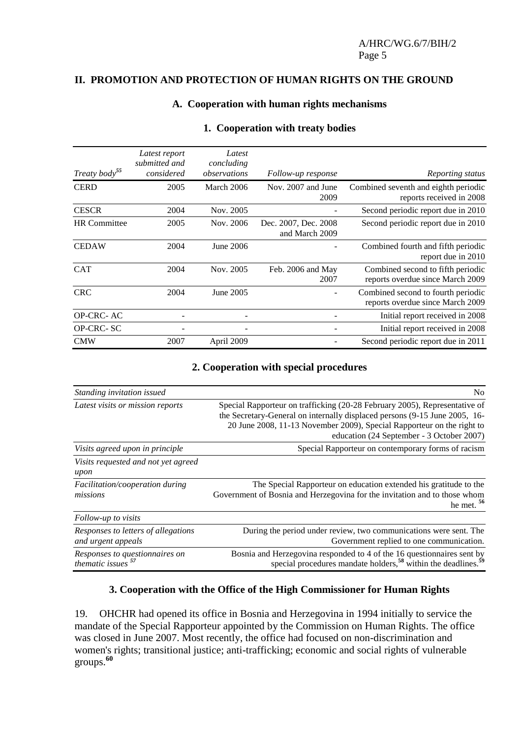#### **II. PROMOTION AND PROTECTION OF HUMAN RIGHTS ON THE GROUND**

#### **A. Cooperation with human rights mechanisms**

| Treaty body <sup>55</sup> | Latest report<br>submitted and<br>considered | Latest<br>concluding<br>observations | Follow-up response                     | Reporting status                                                       |
|---------------------------|----------------------------------------------|--------------------------------------|----------------------------------------|------------------------------------------------------------------------|
| <b>CERD</b>               | 2005                                         | March 2006                           | Nov. 2007 and June<br>2009             | Combined seventh and eighth periodic<br>reports received in 2008       |
| <b>CESCR</b>              | 2004                                         | Nov. 2005                            |                                        | Second periodic report due in 2010                                     |
| <b>HR</b> Committee       | 2005                                         | Nov. 2006                            | Dec. 2007, Dec. 2008<br>and March 2009 | Second periodic report due in 2010                                     |
| <b>CEDAW</b>              | 2004                                         | June 2006                            |                                        | Combined fourth and fifth periodic<br>report due in 2010               |
| <b>CAT</b>                | 2004                                         | Nov. 2005                            | Feb. 2006 and May<br>2007              | Combined second to fifth periodic<br>reports overdue since March 2009  |
| <b>CRC</b>                | 2004                                         | June 2005                            |                                        | Combined second to fourth periodic<br>reports overdue since March 2009 |
| OP-CRC-AC                 |                                              |                                      |                                        | Initial report received in 2008                                        |
| OP-CRC-SC                 |                                              |                                      |                                        | Initial report received in 2008                                        |
| <b>CMW</b>                | 2007                                         | April 2009                           |                                        | Second periodic report due in 2011                                     |

#### **1. Cooperation with treaty bodies**

#### **2. Cooperation with special procedures**

| Standing invitation issued                                      | N <sub>0</sub>                                                                                                                                                                                                                                                                  |
|-----------------------------------------------------------------|---------------------------------------------------------------------------------------------------------------------------------------------------------------------------------------------------------------------------------------------------------------------------------|
| Latest visits or mission reports                                | Special Rapporteur on trafficking (20-28 February 2005), Representative of<br>the Secretary-General on internally displaced persons (9-15 June 2005, 16-<br>20 June 2008, 11-13 November 2009), Special Rapporteur on the right to<br>education (24 September - 3 October 2007) |
| Visits agreed upon in principle                                 | Special Rapporteur on contemporary forms of racism                                                                                                                                                                                                                              |
| Visits requested and not yet agreed<br>upon                     |                                                                                                                                                                                                                                                                                 |
| Facilitation/cooperation during<br>missions                     | The Special Rapporteur on education extended his gratitude to the<br>Government of Bosnia and Herzegovina for the invitation and to those whom<br>he met. $56$                                                                                                                  |
| Follow-up to visits                                             |                                                                                                                                                                                                                                                                                 |
| Responses to letters of allegations<br>and urgent appeals       | During the period under review, two communications were sent. The<br>Government replied to one communication.                                                                                                                                                                   |
| Responses to questionnaires on<br>thematic issues <sup>57</sup> | Bosnia and Herzegovina responded to 4 of the 16 questionnaires sent by<br>special procedures mandate holders, <sup>58</sup> within the deadlines. <sup>59</sup>                                                                                                                 |

## **3. Cooperation with the Office of the High Commissioner for Human Rights**

19. OHCHR had opened its office in Bosnia and Herzegovina in 1994 initially to service the mandate of the Special Rapporteur appointed by the Commission on Human Rights. The office was closed in June 2007. Most recently, the office had focused on non-discrimination and women's rights; transitional justice; anti-trafficking; economic and social rights of vulnerable groups. **60**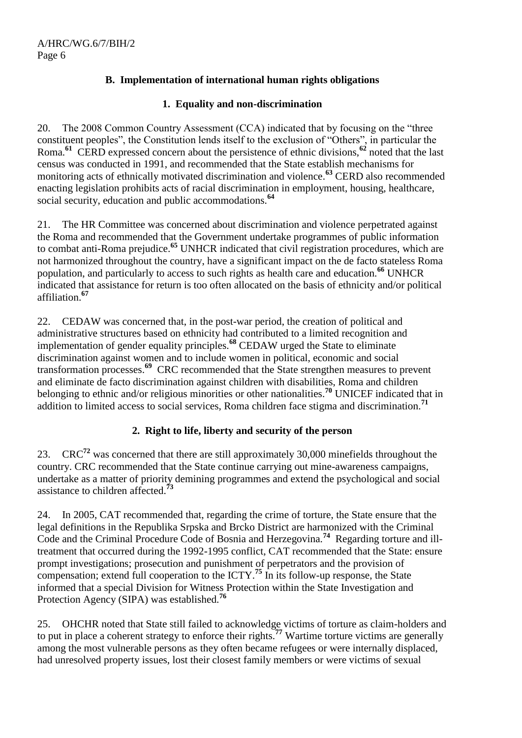# **B. Implementation of international human rights obligations**

# **1. Equality and non-discrimination**

20. The 2008 Common Country Assessment (CCA) indicated that by focusing on the "three constituent peoples", the Constitution lends itself to the exclusion of "Others", in particular the Roma.**<sup>61</sup>** CERD expressed concern about the persistence of ethnic divisions,**<sup>62</sup>** noted that the last census was conducted in 1991, and recommended that the State establish mechanisms for monitoring acts of ethnically motivated discrimination and violence. **<sup>63</sup>** CERD also recommended enacting legislation prohibits acts of racial discrimination in employment, housing, healthcare, social security, education and public accommodations.**<sup>64</sup>**

21. The HR Committee was concerned about discrimination and violence perpetrated against the Roma and recommended that the Government undertake programmes of public information to combat anti-Roma prejudice.**<sup>65</sup>** UNHCR indicated that civil registration procedures, which are not harmonized throughout the country, have a significant impact on the de facto stateless Roma population, and particularly to access to such rights as health care and education.**<sup>66</sup>** UNHCR indicated that assistance for return is too often allocated on the basis of ethnicity and/or political affiliation.**<sup>67</sup>**

22. CEDAW was concerned that, in the post-war period, the creation of political and administrative structures based on ethnicity had contributed to a limited recognition and implementation of gender equality principles.**<sup>68</sup>** CEDAW urged the State to eliminate discrimination against women and to include women in political, economic and social transformation processes.**<sup>69</sup>** CRC recommended that the State strengthen measures to prevent and eliminate de facto discrimination against children with disabilities, Roma and children belonging to ethnic and/or religious minorities or other nationalities.**<sup>70</sup>** UNICEF indicated that in addition to limited access to social services, Roma children face stigma and discrimination.**<sup>71</sup>**

# **2. Right to life, liberty and security of the person**

23. CRC**<sup>72</sup>** was concerned that there are still approximately 30,000 minefields throughout the country. CRC recommended that the State continue carrying out mine-awareness campaigns, undertake as a matter of priority demining programmes and extend the psychological and social assistance to children affected.**<sup>73</sup>**

24. In 2005, CAT recommended that, regarding the crime of torture, the State ensure that the legal definitions in the Republika Srpska and Brcko District are harmonized with the Criminal Code and the Criminal Procedure Code of Bosnia and Herzegovina.**<sup>74</sup>** Regarding torture and illtreatment that occurred during the 1992-1995 conflict, CAT recommended that the State: ensure prompt investigations; prosecution and punishment of perpetrators and the provision of compensation; extend full cooperation to the ICTY. **<sup>75</sup>** In its follow-up response, the State informed that a special Division for Witness Protection within the State Investigation and Protection Agency (SIPA) was established.**<sup>76</sup>**

25. OHCHR noted that State still failed to acknowledge victims of torture as claim-holders and to put in place a coherent strategy to enforce their rights.**<sup>77</sup>** Wartime torture victims are generally among the most vulnerable persons as they often became refugees or were internally displaced, had unresolved property issues, lost their closest family members or were victims of sexual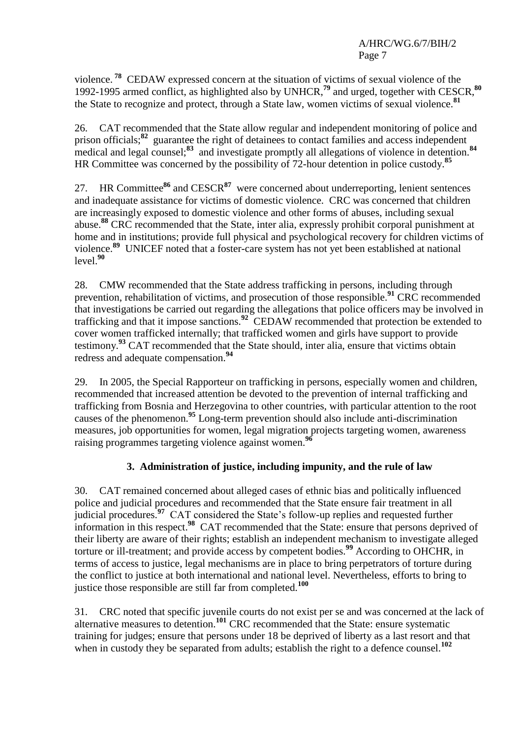violence. **<sup>78</sup>** CEDAW expressed concern at the situation of victims of sexual violence of the 1992-1995 armed conflict, as highlighted also by UNHCR,**<sup>79</sup>** and urged, together with CESCR, **80** the State to recognize and protect, through a State law, women victims of sexual violence.**<sup>81</sup>**

26. CAT recommended that the State allow regular and independent monitoring of police and prison officials;**<sup>82</sup>** guarantee the right of detainees to contact families and access independent medical and legal counsel;<sup>83</sup> and investigate promptly all allegations of violence in detention.<sup>84</sup> HR Committee was concerned by the possibility of 72-hour detention in police custody.**<sup>85</sup>**

27. HR Committee**<sup>86</sup>** and CESCR**<sup>87</sup>** were concerned about underreporting, lenient sentences and inadequate assistance for victims of domestic violence. CRC was concerned that children are increasingly exposed to domestic violence and other forms of abuses, including sexual abuse.**<sup>88</sup>** CRC recommended that the State, inter alia, expressly prohibit corporal punishment at home and in institutions; provide full physical and psychological recovery for children victims of violence.**<sup>89</sup>** UNICEF noted that a foster-care system has not yet been established at national  $level<sup>90</sup>$ 

28. CMW recommended that the State address trafficking in persons, including through prevention, rehabilitation of victims, and prosecution of those responsible.**<sup>91</sup>** CRC recommended that investigations be carried out regarding the allegations that police officers may be involved in trafficking and that it impose sanctions.**<sup>92</sup>** CEDAW recommended that protection be extended to cover women trafficked internally; that trafficked women and girls have support to provide testimony.**<sup>93</sup>** CAT recommended that the State should, inter alia, ensure that victims obtain redress and adequate compensation.**<sup>94</sup>**

29. In 2005, the Special Rapporteur on trafficking in persons, especially women and children, recommended that increased attention be devoted to the prevention of internal trafficking and trafficking from Bosnia and Herzegovina to other countries, with particular attention to the root causes of the phenomenon.**<sup>95</sup>** Long-term prevention should also include anti-discrimination measures, job opportunities for women, legal migration projects targeting women, awareness raising programmes targeting violence against women.**<sup>96</sup>**

# **3. Administration of justice, including impunity, and the rule of law**

30. CAT remained concerned about alleged cases of ethnic bias and politically influenced police and judicial procedures and recommended that the State ensure fair treatment in all judicial procedures.<sup>97</sup> CAT considered the State's follow-up replies and requested further information in this respect. **98** CAT recommended that the State: ensure that persons deprived of their liberty are aware of their rights; establish an independent mechanism to investigate alleged torture or ill-treatment; and provide access by competent bodies.**<sup>99</sup>** According to OHCHR, in terms of access to justice, legal mechanisms are in place to bring perpetrators of torture during the conflict to justice at both international and national level. Nevertheless, efforts to bring to justice those responsible are still far from completed.**<sup>100</sup>**

31. CRC noted that specific juvenile courts do not exist per se and was concerned at the lack of alternative measures to detention.**<sup>101</sup>** CRC recommended that the State: ensure systematic training for judges; ensure that persons under 18 be deprived of liberty as a last resort and that when in custody they be separated from adults; establish the right to a defence counsel.<sup>102</sup>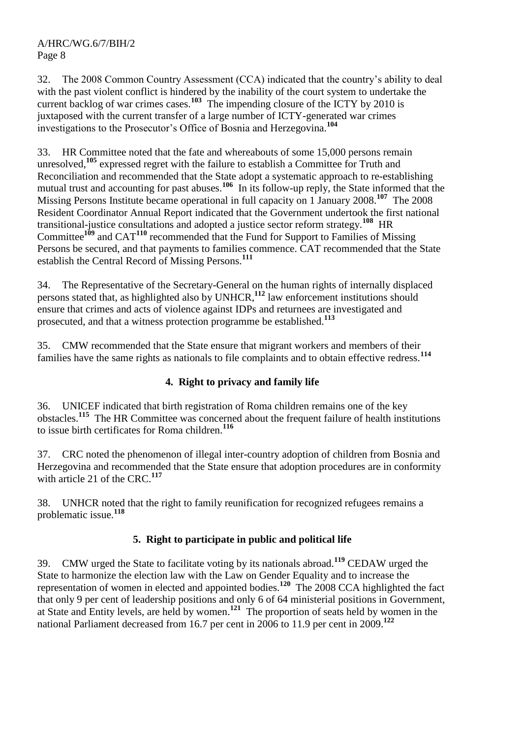32. The 2008 Common Country Assessment (CCA) indicated that the country"s ability to deal with the past violent conflict is hindered by the inability of the court system to undertake the current backlog of war crimes cases.<sup>103</sup> The impending closure of the ICTY by 2010 is juxtaposed with the current transfer of a large number of ICTY-generated war crimes investigations to the Prosecutor"s Office of Bosnia and Herzegovina.**<sup>104</sup>**

33. HR Committee noted that the fate and whereabouts of some 15,000 persons remain unresolved,**<sup>105</sup>** expressed regret with the failure to establish a Committee for Truth and Reconciliation and recommended that the State adopt a systematic approach to re-establishing mutual trust and accounting for past abuses.<sup>106</sup> In its follow-up reply, the State informed that the Missing Persons Institute became operational in full capacity on 1 January 2008.**<sup>107</sup>** The 2008 Resident Coordinator Annual Report indicated that the Government undertook the first national transitional-justice consultations and adopted a justice sector reform strategy.**<sup>108</sup>** HR Committee**<sup>109</sup>** and CAT**<sup>110</sup>** recommended that the Fund for Support to Families of Missing Persons be secured, and that payments to families commence. CAT recommended that the State establish the Central Record of Missing Persons.**<sup>111</sup>**

34. The Representative of the Secretary-General on the human rights of internally displaced persons stated that, as highlighted also by UNHCR, **<sup>112</sup>** law enforcement institutions should ensure that crimes and acts of violence against IDPs and returnees are investigated and prosecuted, and that a witness protection programme be established.**<sup>113</sup>**

35. CMW recommended that the State ensure that migrant workers and members of their families have the same rights as nationals to file complaints and to obtain effective redress.**<sup>114</sup>**

# **4. Right to privacy and family life**

36. UNICEF indicated that birth registration of Roma children remains one of the key obstacles.**<sup>115</sup>** The HR Committee was concerned about the frequent failure of health institutions to issue birth certificates for Roma children.**<sup>116</sup>**

37. CRC noted the phenomenon of illegal inter-country adoption of children from Bosnia and Herzegovina and recommended that the State ensure that adoption procedures are in conformity with article 21 of the CRC.**<sup>117</sup>**

38. UNHCR noted that the right to family reunification for recognized refugees remains a problematic issue.**<sup>118</sup>**

# **5. Right to participate in public and political life**

39. CMW urged the State to facilitate voting by its nationals abroad.**<sup>119</sup>** CEDAW urged the State to harmonize the election law with the Law on Gender Equality and to increase the representation of women in elected and appointed bodies.**<sup>120</sup>** The 2008 CCA highlighted the fact that only 9 per cent of leadership positions and only 6 of 64 ministerial positions in Government, at State and Entity levels, are held by women. **121** The proportion of seats held by women in the national Parliament decreased from 16.7 per cent in 2006 to 11.9 per cent in 2009. **122**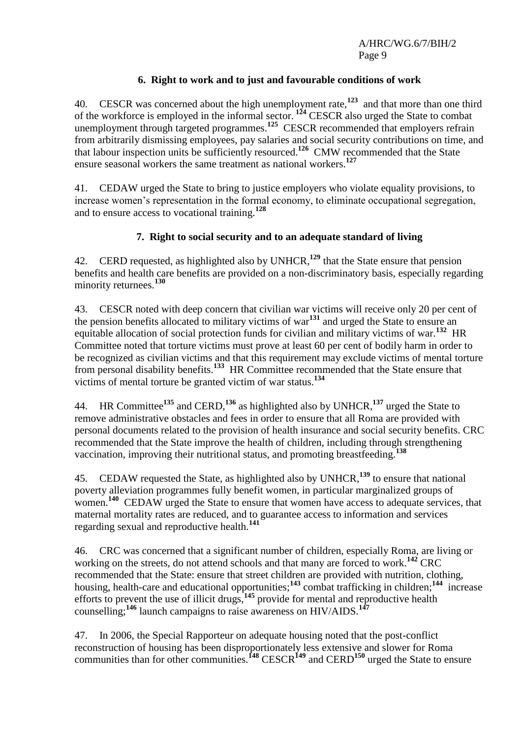# **6. Right to work and to just and favourable conditions of work**

40. CESCR was concerned about the high unemployment rate,**<sup>123</sup>** and that more than one third of the workforce is employed in the informal sector. **<sup>124</sup>** CESCR also urged the State to combat unemployment through targeted programmes.**<sup>125</sup>** CESCR recommended that employers refrain from arbitrarily dismissing employees, pay salaries and social security contributions on time, and that labour inspection units be sufficiently resourced.**<sup>126</sup>** CMW recommended that the State ensure seasonal workers the same treatment as national workers.**<sup>127</sup>**

41. CEDAW urged the State to bring to justice employers who violate equality provisions, to increase women's representation in the formal economy, to eliminate occupational segregation, and to ensure access to vocational training.**<sup>128</sup>**

#### **7. Right to social security and to an adequate standard of living**

42. CERD requested, as highlighted also by UNHCR, **<sup>129</sup>** that the State ensure that pension benefits and health care benefits are provided on a non-discriminatory basis, especially regarding minority returnees.**<sup>130</sup>**

43. CESCR noted with deep concern that civilian war victims will receive only 20 per cent of the pension benefits allocated to military victims of war**<sup>131</sup>** and urged the State to ensure an equitable allocation of social protection funds for civilian and military victims of war.<sup>132</sup> HR Committee noted that torture victims must prove at least 60 per cent of bodily harm in order to be recognized as civilian victims and that this requirement may exclude victims of mental torture from personal disability benefits.**<sup>133</sup>** HR Committee recommended that the State ensure that victims of mental torture be granted victim of war status.**<sup>134</sup>**

44. HR Committee**<sup>135</sup>** and CERD, **<sup>136</sup>** as highlighted also by UNHCR,**<sup>137</sup>** urged the State to remove administrative obstacles and fees in order to ensure that all Roma are provided with personal documents related to the provision of health insurance and social security benefits. CRC recommended that the State improve the health of children, including through strengthening vaccination, improving their nutritional status, and promoting breastfeeding.**<sup>138</sup>**

45. CEDAW requested the State, as highlighted also by UNHCR, **<sup>139</sup>** to ensure that national poverty alleviation programmes fully benefit women, in particular marginalized groups of women.<sup>140</sup> CEDAW urged the State to ensure that women have access to adequate services, that maternal mortality rates are reduced, and to guarantee access to information and services regarding sexual and reproductive health.**<sup>141</sup>**

46. CRC was concerned that a significant number of children, especially Roma, are living or working on the streets, do not attend schools and that many are forced to work.**<sup>142</sup>** CRC recommended that the State: ensure that street children are provided with nutrition, clothing, housing, health-care and educational opportunities;<sup>143</sup> combat trafficking in children;<sup>144</sup> increase efforts to prevent the use of illicit drugs,**<sup>145</sup>** provide for mental and reproductive health counselling;**<sup>146</sup>** launch campaigns to raise awareness on HIV/AIDS.**<sup>147</sup>**

47. In 2006, the Special Rapporteur on adequate housing noted that the post-conflict reconstruction of housing has been disproportionately less extensive and slower for Roma communities than for other communities.**<sup>148</sup>** CESCR**<sup>149</sup>** and CERD**<sup>150</sup>** urged the State to ensure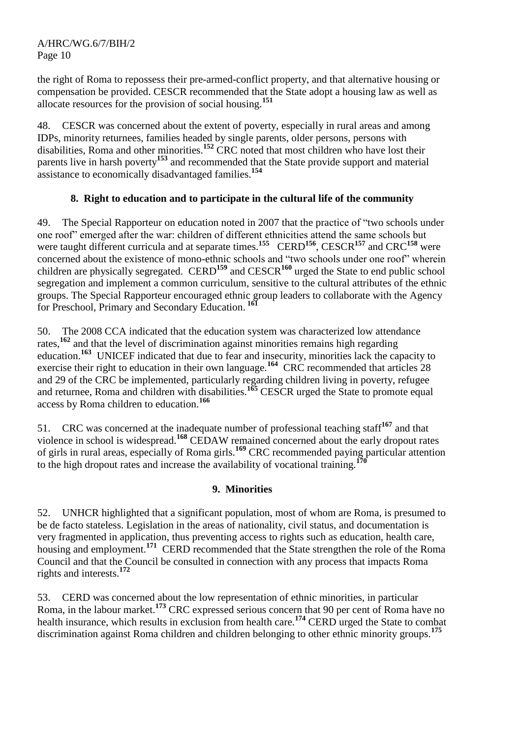the right of Roma to repossess their pre-armed-conflict property, and that alternative housing or compensation be provided. CESCR recommended that the State adopt a housing law as well as allocate resources for the provision of social housing.**<sup>151</sup>**

48. CESCR was concerned about the extent of poverty, especially in rural areas and among IDPs, minority returnees, families headed by single parents, older persons, persons with disabilities, Roma and other minorities.**<sup>152</sup>** CRC noted that most children who have lost their parents live in harsh poverty**<sup>153</sup>** and recommended that the State provide support and material assistance to economically disadvantaged families.**<sup>154</sup>**

# **8. Right to education and to participate in the cultural life of the community**

49. The Special Rapporteur on education noted in 2007 that the practice of "two schools under one roof" emerged after the war: children of different ethnicities attend the same schools but were taught different curricula and at separate times.**<sup>155</sup>** CERD**<sup>156</sup>**, CESCR**<sup>157</sup>** and CRC**<sup>158</sup>** were concerned about the existence of mono-ethnic schools and "two schools under one roof" wherein children are physically segregated. CERD**<sup>159</sup>** and CESCR**<sup>160</sup>** urged the State to end public school segregation and implement a common curriculum, sensitive to the cultural attributes of the ethnic groups. The Special Rapporteur encouraged ethnic group leaders to collaborate with the Agency for Preschool, Primary and Secondary Education. **161**

The 2008 CCA indicated that the education system was characterized low attendance rates,**<sup>162</sup>** and that the level of discrimination against minorities remains high regarding education.<sup>163</sup> UNICEF indicated that due to fear and insecurity, minorities lack the capacity to exercise their right to education in their own language.<sup>164</sup> CRC recommended that articles 28 and 29 of the CRC be implemented, particularly regarding children living in poverty, refugee and returnee, Roma and children with disabilities.**<sup>165</sup>** CESCR urged the State to promote equal access by Roma children to education.**<sup>166</sup>**

51. CRC was concerned at the inadequate number of professional teaching staff**<sup>167</sup>** and that violence in school is widespread.**<sup>168</sup>** CEDAW remained concerned about the early dropout rates of girls in rural areas, especially of Roma girls.**<sup>169</sup>** CRC recommended paying particular attention to the high dropout rates and increase the availability of vocational training.**<sup>170</sup>**

#### **9. Minorities**

52. UNHCR highlighted that a significant population, most of whom are Roma, is presumed to be de facto stateless. Legislation in the areas of nationality, civil status, and documentation is very fragmented in application, thus preventing access to rights such as education, health care, housing and employment.**<sup>171</sup>** CERD recommended that the State strengthen the role of the Roma Council and that the Council be consulted in connection with any process that impacts Roma rights and interests.**<sup>172</sup>**

53. CERD was concerned about the low representation of ethnic minorities, in particular Roma, in the labour market.**<sup>173</sup>** CRC expressed serious concern that 90 per cent of Roma have no health insurance, which results in exclusion from health care.**<sup>174</sup>** CERD urged the State to combat discrimination against Roma children and children belonging to other ethnic minority groups.**<sup>175</sup>**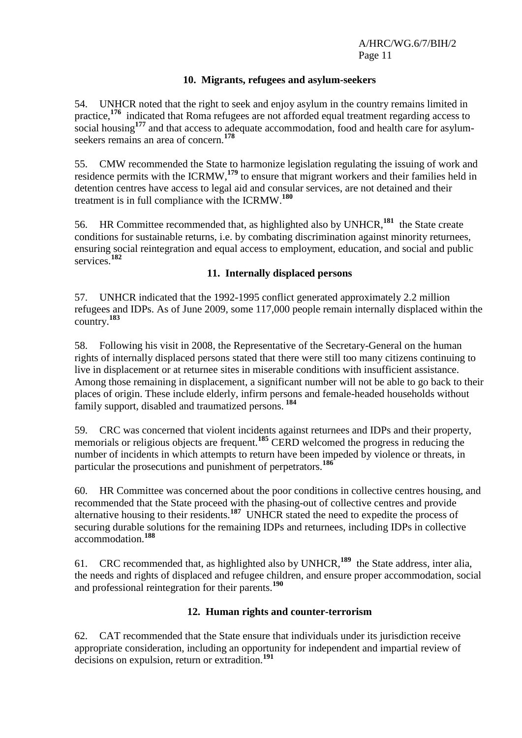#### **10. Migrants, refugees and asylum-seekers**

54. UNHCR noted that the right to seek and enjoy asylum in the country remains limited in practice,<sup>176</sup> indicated that Roma refugees are not afforded equal treatment regarding access to social housing<sup>177</sup> and that access to adequate accommodation, food and health care for asylumseekers remains an area of concern.**<sup>178</sup>**

55. CMW recommended the State to harmonize legislation regulating the issuing of work and residence permits with the ICRMW,**<sup>179</sup>** to ensure that migrant workers and their families held in detention centres have access to legal aid and consular services, are not detained and their treatment is in full compliance with the ICRMW. **180**

56. HR Committee recommended that, as highlighted also by UNHCR,**<sup>181</sup>** the State create conditions for sustainable returns, i.e. by combating discrimination against minority returnees, ensuring social reintegration and equal access to employment, education, and social and public services.**<sup>182</sup>**

#### **11. Internally displaced persons**

57. UNHCR indicated that the 1992-1995 conflict generated approximately 2.2 million refugees and IDPs. As of June 2009, some 117,000 people remain internally displaced within the country.**<sup>183</sup>**

58. Following his visit in 2008, the Representative of the Secretary-General on the human rights of internally displaced persons stated that there were still too many citizens continuing to live in displacement or at returnee sites in miserable conditions with insufficient assistance. Among those remaining in displacement, a significant number will not be able to go back to their places of origin. These include elderly, infirm persons and female-headed households without family support, disabled and traumatized persons. **184**

59. CRC was concerned that violent incidents against returnees and IDPs and their property, memorials or religious objects are frequent.**<sup>185</sup>** CERD welcomed the progress in reducing the number of incidents in which attempts to return have been impeded by violence or threats, in particular the prosecutions and punishment of perpetrators.**<sup>186</sup>**

60. HR Committee was concerned about the poor conditions in collective centres housing, and recommended that the State proceed with the phasing-out of collective centres and provide alternative housing to their residents.**<sup>187</sup>** UNHCR stated the need to expedite the process of securing durable solutions for the remaining IDPs and returnees, including IDPs in collective accommodation.**<sup>188</sup>**

61. CRC recommended that, as highlighted also by UNHCR,**<sup>189</sup>** the State address, inter alia, the needs and rights of displaced and refugee children, and ensure proper accommodation, social and professional reintegration for their parents.**<sup>190</sup>**

# **12. Human rights and counter-terrorism**

62. CAT recommended that the State ensure that individuals under its jurisdiction receive appropriate consideration, including an opportunity for independent and impartial review of decisions on expulsion, return or extradition.**<sup>191</sup>**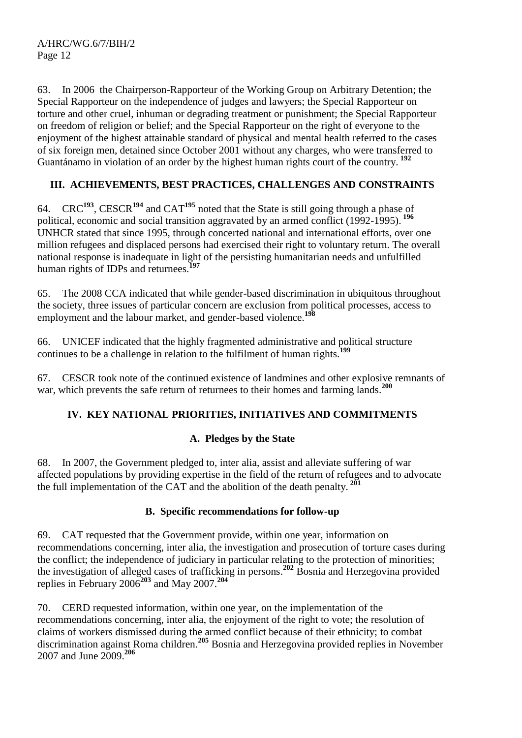63. In 2006 the Chairperson-Rapporteur of the Working Group on Arbitrary Detention; the Special Rapporteur on the independence of judges and lawyers; the Special Rapporteur on torture and other cruel, inhuman or degrading treatment or punishment; the Special Rapporteur on freedom of religion or belief; and the Special Rapporteur on the right of everyone to the enjoyment of the highest attainable standard of physical and mental health referred to the cases of six foreign men, detained since October 2001 without any charges, who were transferred to Guantánamo in violation of an order by the highest human rights court of the country. **<sup>192</sup>**

# **III. ACHIEVEMENTS, BEST PRACTICES, CHALLENGES AND CONSTRAINTS**

64. CRC**<sup>193</sup>**, CESCR**<sup>194</sup>** and CAT**<sup>195</sup>** noted that the State is still going through a phase of political, economic and social transition aggravated by an armed conflict (1992-1995). **<sup>196</sup>** UNHCR stated that since 1995, through concerted national and international efforts, over one million refugees and displaced persons had exercised their right to voluntary return. The overall national response is inadequate in light of the persisting humanitarian needs and unfulfilled human rights of IDPs and returnees.**<sup>197</sup>**

65. The 2008 CCA indicated that while gender-based discrimination in ubiquitous throughout the society, three issues of particular concern are exclusion from political processes, access to employment and the labour market, and gender-based violence.**<sup>198</sup>**

66. UNICEF indicated that the highly fragmented administrative and political structure continues to be a challenge in relation to the fulfilment of human rights.**<sup>199</sup>**

67. CESCR took note of the continued existence of landmines and other explosive remnants of war, which prevents the safe return of returnees to their homes and farming lands.**<sup>200</sup>**

# **IV. KEY NATIONAL PRIORITIES, INITIATIVES AND COMMITMENTS**

# **A. Pledges by the State**

68. In 2007, the Government pledged to, inter alia, assist and alleviate suffering of war affected populations by providing expertise in the field of the return of refugees and to advocate the full implementation of the CAT and the abolition of the death penalty. **<sup>201</sup>**

#### **B. Specific recommendations for follow-up**

69. CAT requested that the Government provide, within one year, information on recommendations concerning, inter alia, the investigation and prosecution of torture cases during the conflict; the independence of judiciary in particular relating to the protection of minorities; the investigation of alleged cases of trafficking in persons. **<sup>202</sup>** Bosnia and Herzegovina provided replies in February 2006**<sup>203</sup>** and May 2007. **204**

70. CERD requested information, within one year, on the implementation of the recommendations concerning, inter alia, the enjoyment of the right to vote; the resolution of claims of workers dismissed during the armed conflict because of their ethnicity; to combat discrimination against Roma children.**<sup>205</sup>** Bosnia and Herzegovina provided replies in November 2007 and June 2009. **206**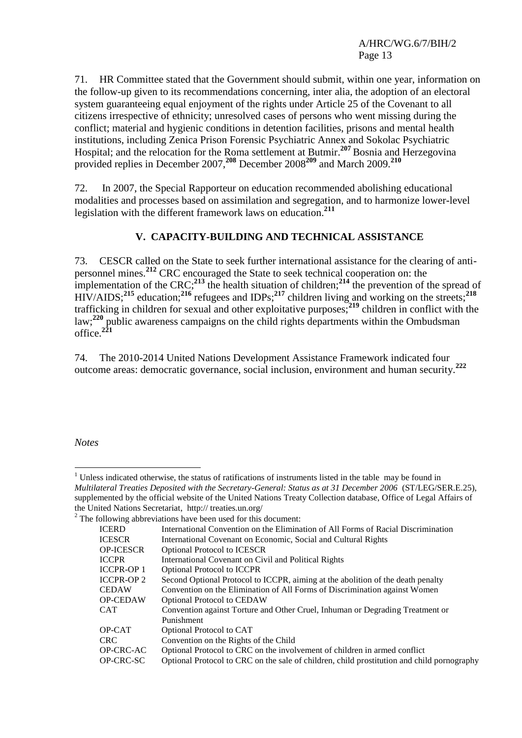71. HR Committee stated that the Government should submit, within one year, information on the follow-up given to its recommendations concerning, inter alia, the adoption of an electoral system guaranteeing equal enjoyment of the rights under Article 25 of the Covenant to all citizens irrespective of ethnicity; unresolved cases of persons who went missing during the conflict; material and hygienic conditions in detention facilities, prisons and mental health institutions, including Zenica Prison Forensic Psychiatric Annex and Sokolac Psychiatric Hospital; and the relocation for the Roma settlement at Butmir. **<sup>207</sup>** Bosnia and Herzegovina provided replies in December 2007, **<sup>208</sup>** December 2008**<sup>209</sup>** and March 2009. **210**

72. In 2007, the Special Rapporteur on education recommended abolishing educational modalities and processes based on assimilation and segregation, and to harmonize lower-level legislation with the different framework laws on education.**<sup>211</sup>**

#### **V. CAPACITY-BUILDING AND TECHNICAL ASSISTANCE**

73. CESCR called on the State to seek further international assistance for the clearing of antipersonnel mines.**<sup>212</sup>** CRC encouraged the State to seek technical cooperation on: the implementation of the CRC;**<sup>213</sup>** the health situation of children;**<sup>214</sup>** the prevention of the spread of HIV/AIDS;**<sup>215</sup>** education;**<sup>216</sup>** refugees and IDPs;**<sup>217</sup>** children living and working on the streets;**<sup>218</sup>** trafficking in children for sexual and other exploitative purposes;**<sup>219</sup>** children in conflict with the law;<sup>220</sup> public awareness campaigns on the child rights departments within the Ombudsman office.**<sup>221</sup>**

74. The 2010-2014 United Nations Development Assistance Framework indicated four outcome areas: democratic governance, social inclusion, environment and human security.**<sup>222</sup>**

*Notes*

<u>.</u>

 $1$  Unless indicated otherwise, the status of ratifications of instruments listed in the table may be found in *Multilateral Treaties Deposited with the Secretary-General: Status as at 31 December 2006* (ST/LEG/SER.E.25), supplemented by the official website of the United Nations Treaty Collection database, Office of Legal Affairs of the United Nations Secretariat, http:// treaties.un.org/  $2$  The following abbreviations have been used for this document: ICERD International Convention on the Elimination of All Forms of Racial Discrimination ICESCR International Covenant on Economic, Social and Cultural Rights OP-ICESCR Optional Protocol to ICESCR ICCPR International Covenant on Civil and Political Rights ICCPR-OP 1 Optional Protocol to ICCPR ICCPR-OP 2 Second Optional Protocol to ICCPR, aiming at the abolition of the death penalty CEDAW Convention on the Elimination of All Forms of Discrimination against Women OP-CEDAW Optional Protocol to CEDAW CAT Convention against Torture and Other Cruel, Inhuman or Degrading Treatment or Punishment OP-CAT Optional Protocol to CAT CRC Convention on the Rights of the Child OP-CRC-AC Optional Protocol to CRC on the involvement of children in armed conflict OP-CRC-SC Optional Protocol to CRC on the sale of children, child prostitution and child pornography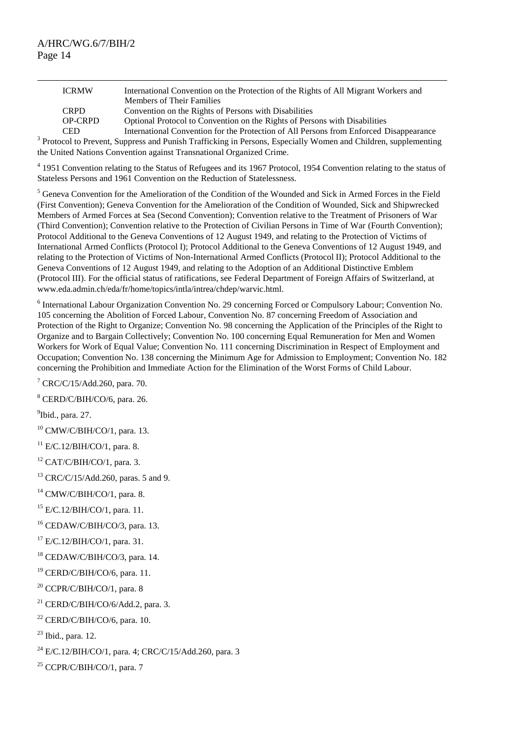$\overline{a}$ 

| <b>ICRMW</b>   | International Convention on the Protection of the Rights of All Migrant Workers and    |
|----------------|----------------------------------------------------------------------------------------|
|                | <b>Members of Their Families</b>                                                       |
| <b>CRPD</b>    | Convention on the Rights of Persons with Disabilities                                  |
| <b>OP-CRPD</b> | Optional Protocol to Convention on the Rights of Persons with Disabilities             |
| <b>CED</b>     | International Convention for the Protection of All Persons from Enforced Disappearance |
|                |                                                                                        |

CED International Convention for the Protection of All Persons from Enforced Disappearance<br><sup>3</sup> Protocol to Prevent, Suppress and Punish Trafficking in Persons, Especially Women and Children, supplementing the United Nations Convention against Transnational Organized Crime.

<sup>4</sup> 1951 Convention relating to the Status of Refugees and its 1967 Protocol, 1954 Convention relating to the status of Stateless Persons and 1961 Convention on the Reduction of Statelessness.

<sup>5</sup> Geneva Convention for the Amelioration of the Condition of the Wounded and Sick in Armed Forces in the Field (First Convention); Geneva Convention for the Amelioration of the Condition of Wounded, Sick and Shipwrecked Members of Armed Forces at Sea (Second Convention); Convention relative to the Treatment of Prisoners of War (Third Convention); Convention relative to the Protection of Civilian Persons in Time of War (Fourth Convention); Protocol Additional to the Geneva Conventions of 12 August 1949, and relating to the Protection of Victims of International Armed Conflicts (Protocol I); Protocol Additional to the Geneva Conventions of 12 August 1949, and relating to the Protection of Victims of Non-International Armed Conflicts (Protocol II); Protocol Additional to the Geneva Conventions of 12 August 1949, and relating to the Adoption of an Additional Distinctive Emblem (Protocol III). For the official status of ratifications, see Federal Department of Foreign Affairs of Switzerland, at www.eda.admin.ch/eda/fr/home/topics/intla/intrea/chdep/warvic.html.

<sup>6</sup> International Labour Organization Convention No. 29 concerning Forced or Compulsory Labour; Convention No. 105 concerning the Abolition of Forced Labour, Convention No. 87 concerning Freedom of Association and Protection of the Right to Organize; Convention No. 98 concerning the Application of the Principles of the Right to Organize and to Bargain Collectively; Convention No. 100 concerning Equal Remuneration for Men and Women Workers for Work of Equal Value; Convention No. 111 concerning Discrimination in Respect of Employment and Occupation; Convention No. 138 concerning the Minimum Age for Admission to Employment; Convention No. 182 concerning the Prohibition and Immediate Action for the Elimination of the Worst Forms of Child Labour.

 $7$  CRC/C/15/Add.260, para. 70.

<sup>8</sup> CERD/C/BIH/CO/6, para. 26.

<sup>9</sup>Ibid., para. 27.

<sup>10</sup> CMW/C/BIH/CO/1, para. 13.

 $11$  E/C.12/BIH/CO/1, para. 8.

 $12$  CAT/C/BIH/CO/1, para. 3.

<sup>13</sup> CRC/C/15/Add.260, paras. 5 and 9.

 $14$  CMW/C/BIH/CO/1, para. 8.

 $15$  E/C.12/BIH/CO/1, para. 11.

<sup>16</sup> CEDAW/C/BIH/CO/3, para. 13.

 $17$  E/C.12/BIH/CO/1, para. 31.

<sup>18</sup> CEDAW/C/BIH/CO/3, para. 14.

<sup>19</sup> CERD/C/BIH/CO/6, para. 11.

<sup>20</sup> CCPR/C/BIH/CO/1, para. 8

<sup>21</sup> CERD/C/BIH/CO/6/Add.2, para. 3.

 $22$  CERD/C/BIH/CO/6, para. 10.

 $23$  Ibid., para. 12.

 $^{24}$  E/C.12/BIH/CO/1, para. 4; CRC/C/15/Add.260, para. 3

 $25$  CCPR/C/BIH/CO/1, para. 7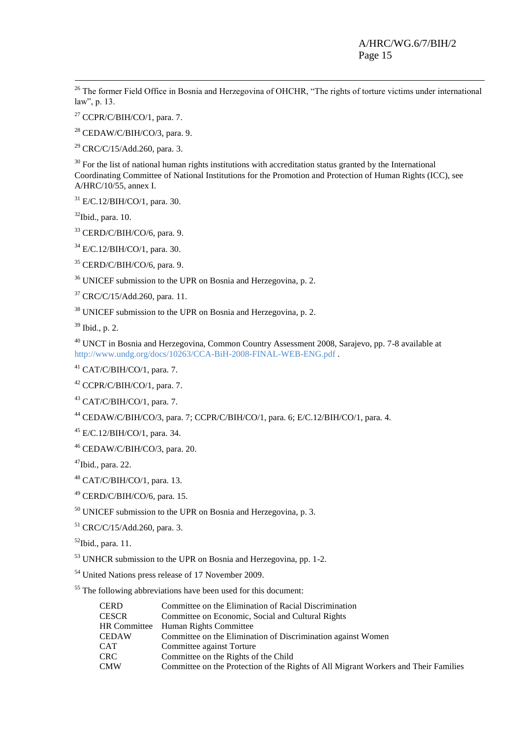<sup>26</sup> The former Field Office in Bosnia and Herzegovina of OHCHR, "The rights of torture victims under international law", p. 13.

<sup>27</sup> CCPR/C/BIH/CO/1, para. 7.

 $28$  CEDAW/C/BIH/CO/3, para. 9.

 $29$  CRC/C/15/Add.260, para. 3.

 $30$  For the list of national human rights institutions with accreditation status granted by the International Coordinating Committee of National Institutions for the Promotion and Protection of Human Rights (ICC), see A/HRC/10/55, annex I.

 $31$  E/C.12/BIH/CO/1, para. 30.

 $32$ Ibid., para. 10.

-

 $33$  CERD/C/BIH/CO/6, para. 9.

<sup>34</sup> E/C.12/BIH/CO/1, para. 30.

 $35$  CERD/C/BIH/CO/6, para. 9.

<sup>36</sup> UNICEF submission to the UPR on Bosnia and Herzegovina, p. 2.

<sup>37</sup> CRC/C/15/Add.260, para. 11.

<sup>38</sup> UNICEF submission to the UPR on Bosnia and Herzegovina, p. 2.

 $39$  Ibid., p. 2.

<sup>40</sup> UNCT in Bosnia and Herzegovina, Common Country Assessment 2008, Sarajevo, pp. 7-8 available at <http://www.undg.org/docs/10263/CCA-BiH-2008-FINAL-WEB-ENG.pdf> .

 $41$  CAT/C/BIH/CO/1, para. 7.

 $42$  CCPR/C/BIH/CO/1, para. 7.

<sup>43</sup> CAT/C/BIH/CO/1, para. 7.

<sup>44</sup> CEDAW/C/BIH/CO/3, para. 7; CCPR/C/BIH/CO/1, para. 6; E/C.12/BIH/CO/1, para. 4.

<sup>45</sup> E/C.12/BIH/CO/1, para. 34.

<sup>46</sup> CEDAW/C/BIH/CO/3, para. 20.

 $47$ Ibid., para. 22.

<sup>48</sup> CAT/C/BIH/CO/1, para. 13.

<sup>49</sup> CERD/C/BIH/CO/6, para. 15.

<sup>50</sup> UNICEF submission to the UPR on Bosnia and Herzegovina, p. 3.

<sup>51</sup> CRC/C/15/Add.260, para. 3.

 $<sup>52</sup>$ Ibid., para. 11.</sup>

<sup>53</sup> UNHCR submission to the UPR on Bosnia and Herzegovina, pp. 1-2.

<sup>54</sup> United Nations press release of 17 November 2009.

<sup>55</sup> The following abbreviations have been used for this document:

| <b>CERD</b>         | Committee on the Elimination of Racial Discrimination                               |
|---------------------|-------------------------------------------------------------------------------------|
| <b>CESCR</b>        | Committee on Economic, Social and Cultural Rights                                   |
| <b>HR</b> Committee | Human Rights Committee                                                              |
| <b>CEDAW</b>        | Committee on the Elimination of Discrimination against Women                        |
| <b>CAT</b>          | Committee against Torture                                                           |
| <b>CRC</b>          | Committee on the Rights of the Child                                                |
| <b>CMW</b>          | Committee on the Protection of the Rights of All Migrant Workers and Their Families |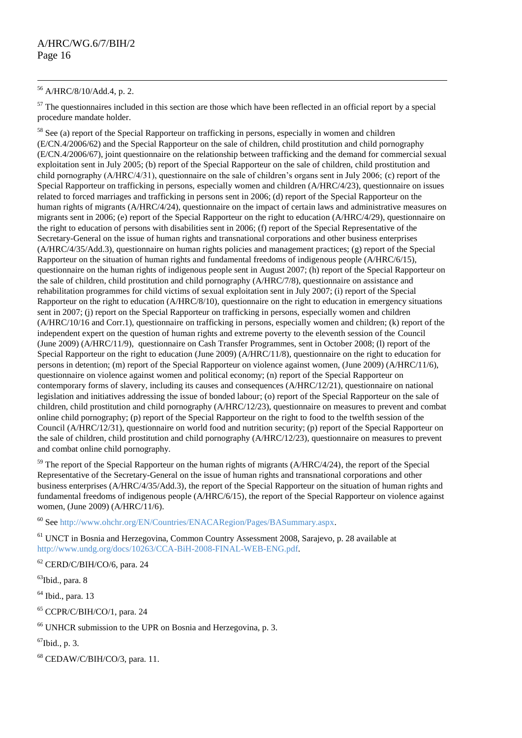#### <sup>56</sup> A/HRC/8/10/Add.4, p. 2.

 $\overline{a}$ 

 $57$  The questionnaires included in this section are those which have been reflected in an official report by a special procedure mandate holder.

<sup>58</sup> See (a) report of the Special Rapporteur on trafficking in persons, especially in women and children (E/CN.4/2006/62) and the Special Rapporteur on the sale of children, child prostitution and child pornography (E/CN.4/2006/67), joint questionnaire on the relationship between trafficking and the demand for commercial sexual exploitation sent in July 2005; (b) report of the Special Rapporteur on the sale of children, child prostitution and child pornography (A/HRC/4/31), questionnaire on the sale of children"s organs sent in July 2006; (c) report of the Special Rapporteur on trafficking in persons, especially women and children (A/HRC/4/23), questionnaire on issues related to forced marriages and trafficking in persons sent in 2006; (d) report of the Special Rapporteur on the human rights of migrants (A/HRC/4/24), questionnaire on the impact of certain laws and administrative measures on migrants sent in 2006; (e) report of the Special Rapporteur on the right to education (A/HRC/4/29), questionnaire on the right to education of persons with disabilities sent in 2006; (f) report of the Special Representative of the Secretary-General on the issue of human rights and transnational corporations and other business enterprises (A/HRC/4/35/Add.3), questionnaire on human rights policies and management practices; (g) report of the Special Rapporteur on the situation of human rights and fundamental freedoms of indigenous people (A/HRC/6/15), questionnaire on the human rights of indigenous people sent in August 2007; (h) report of the Special Rapporteur on the sale of children, child prostitution and child pornography (A/HRC/7/8), questionnaire on assistance and rehabilitation programmes for child victims of sexual exploitation sent in July 2007; (i) report of the Special Rapporteur on the right to education (A/HRC/8/10), questionnaire on the right to education in emergency situations sent in 2007; (j) report on the Special Rapporteur on trafficking in persons, especially women and children (A/HRC/10/16 and Corr.1), questionnaire on trafficking in persons, especially women and children; (k) report of the independent expert on the question of human rights and extreme poverty to the eleventh session of the Council (June 2009) (A/HRC/11/9), questionnaire on Cash Transfer Programmes, sent in October 2008; (l) report of the Special Rapporteur on the right to education (June 2009) (A/HRC/11/8), questionnaire on the right to education for persons in detention; (m) report of the Special Rapporteur on violence against women, (June 2009) (A/HRC/11/6), questionnaire on violence against women and political economy; (n) report of the Special Rapporteur on contemporary forms of slavery, including its causes and consequences (A/HRC/12/21), questionnaire on national legislation and initiatives addressing the issue of bonded labour; (o) report of the Special Rapporteur on the sale of children, child prostitution and child pornography (A/HRC/12/23), questionnaire on measures to prevent and combat online child pornography; (p) report of the Special Rapporteur on the right to food to the twelfth session of the Council (A/HRC/12/31), questionnaire on world food and nutrition security; (p) report of the Special Rapporteur on the sale of children, child prostitution and child pornography (A/HRC/12/23), questionnaire on measures to prevent and combat online child pornography.

 $59$  The report of the Special Rapporteur on the human rights of migrants (A/HRC/4/24), the report of the Special Representative of the Secretary-General on the issue of human rights and transnational corporations and other business enterprises (A/HRC/4/35/Add.3), the report of the Special Rapporteur on the situation of human rights and fundamental freedoms of indigenous people (A/HRC/6/15), the report of the Special Rapporteur on violence against women, (June 2009) (A/HRC/11/6).

<sup>60</sup> See [http://www.ohchr.org/EN/Countries/ENACARegion/Pages/BASummary.aspx.](http://www.ohchr.org/EN/Countries/ENACARegion/Pages/BASummary.aspx)

<sup>61</sup> UNCT in Bosnia and Herzegovina, Common Country Assessment 2008, Sarajevo, p. 28 available at [http://www.undg.org/docs/10263/CCA-BiH-2008-FINAL-WEB-ENG.pdf.](http://www.undg.org/docs/10263/CCA-BiH-2008-FINAL-WEB-ENG.pdf)

<sup>62</sup> CERD/C/BIH/CO/6, para. 24

<sup>63</sup>Ibid., para. 8

 $<sup>64</sup>$  Ibid., para. 13</sup>

<sup>65</sup> CCPR/C/BIH/CO/1, para. 24

<sup>66</sup> UNHCR submission to the UPR on Bosnia and Herzegovina, p. 3.

 $^{67}$ Ibid., p. 3.

<sup>68</sup> CEDAW/C/BIH/CO/3, para. 11.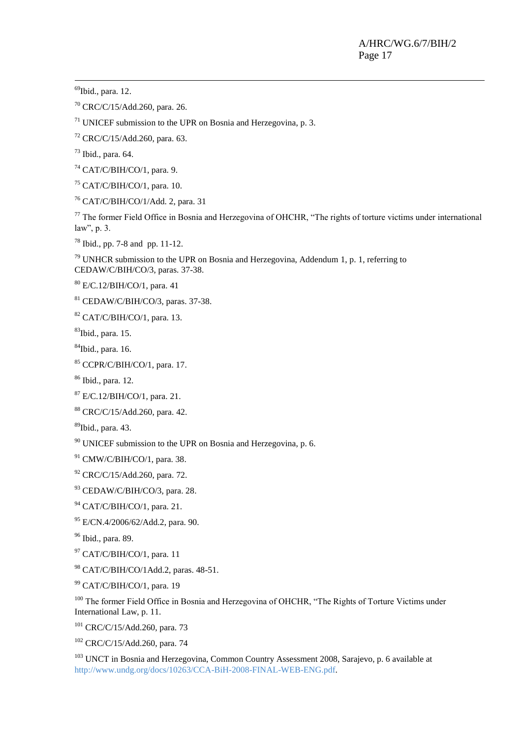<sup>69</sup>Ibid., para. 12.

-

CRC/C/15/Add.260, para. 26.

UNICEF submission to the UPR on Bosnia and Herzegovina, p. 3.

CRC/C/15/Add.260, para. 63.

Ibid., para. 64.

CAT/C/BIH/CO/1, para. 9.

CAT/C/BIH/CO/1, para. 10.

CAT/C/BIH/CO/1/Add. 2, para. 31

 The former Field Office in Bosnia and Herzegovina of OHCHR, "The rights of torture victims under international law", p. 3.

Ibid., pp. 7-8 and pp. 11-12.

 UNHCR submission to the UPR on Bosnia and Herzegovina, Addendum 1, p. 1, referring to CEDAW/C/BIH/CO/3, paras. 37-38.

E/C.12/BIH/CO/1, para. 41

CEDAW/C/BIH/CO/3, paras. 37-38.

CAT/C/BIH/CO/1, para. 13.

Ibid., para. 15.

Ibid., para. 16.

CCPR/C/BIH/CO/1, para. 17.

Ibid., para. 12.

E/C.12/BIH/CO/1, para. 21.

CRC/C/15/Add.260, para. 42.

Ibid., para. 43.

UNICEF submission to the UPR on Bosnia and Herzegovina, p. 6.

CMW/C/BIH/CO/1, para. 38.

CRC/C/15/Add.260, para. 72.

CEDAW/C/BIH/CO/3, para. 28.

CAT/C/BIH/CO/1, para. 21.

E/CN.4/2006/62/Add.2, para. 90.

Ibid., para. 89.

CAT/C/BIH/CO/1, para. 11

CAT/C/BIH/CO/1Add.2, paras. 48-51.

CAT/C/BIH/CO/1, para. 19

<sup>100</sup> The former Field Office in Bosnia and Herzegovina of OHCHR, "The Rights of Torture Victims under International Law, p. 11.

CRC/C/15/Add.260, para. 73

CRC/C/15/Add.260, para. 74

<sup>103</sup> UNCT in Bosnia and Herzegovina, Common Country Assessment 2008, Sarajevo, p. 6 available at [http://www.undg.org/docs/10263/CCA-BiH-2008-FINAL-WEB-ENG.pdf.](http://www.undg.org/docs/10263/CCA-BiH-2008-FINAL-WEB-ENG.pdf)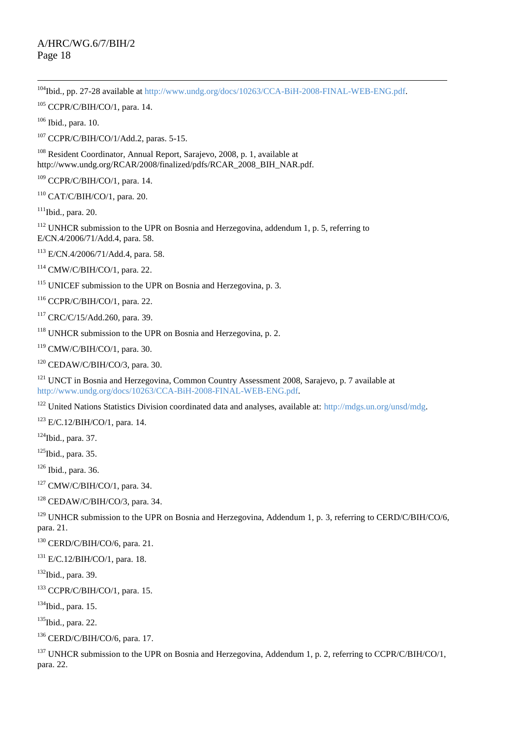$\overline{a}$ <sup>104</sup>Ibid., pp. 27-28 available at [http://www.undg.org/docs/10263/CCA-BiH-2008-FINAL-WEB-ENG.pdf.](http://www.undg.org/docs/10263/CCA-BiH-2008-FINAL-WEB-ENG.pdf)

CCPR/C/BIH/CO/1, para. 14.

Ibid., para. 10.

CCPR/C/BIH/CO/1/Add.2, paras. 5-15.

<sup>108</sup> Resident Coordinator, Annual Report, Sarajevo, 2008, p. 1, available at http://www.undg.org/RCAR/2008/finalized/pdfs/RCAR\_2008\_BIH\_NAR.pdf.

CCPR/C/BIH/CO/1, para. 14.

CAT/C/BIH/CO/1, para. 20.

Ibid., para. 20.

 UNHCR submission to the UPR on Bosnia and Herzegovina, addendum 1, p. 5, referring to E/CN.4/2006/71/Add.4, para. 58.

E/CN.4/2006/71/Add.4, para. 58.

CMW/C/BIH/CO/1, para. 22.

UNICEF submission to the UPR on Bosnia and Herzegovina, p. 3.

CCPR/C/BIH/CO/1, para. 22.

CRC/C/15/Add.260, para. 39.

UNHCR submission to the UPR on Bosnia and Herzegovina, p. 2.

CMW/C/BIH/CO/1, para. 30.

CEDAW/C/BIH/CO/3, para. 30.

<sup>121</sup> UNCT in Bosnia and Herzegovina, Common Country Assessment 2008, Sarajevo, p. 7 available at [http://www.undg.org/docs/10263/CCA-BiH-2008-FINAL-WEB-ENG.pdf.](http://www.undg.org/docs/10263/CCA-BiH-2008-FINAL-WEB-ENG.pdf)

<sup>122</sup> United Nations Statistics Division coordinated data and analyses, available at: [http://mdgs.un.org/unsd/mdg.](http://mdgs.un.org/unsd/mdg)

E/C.12/BIH/CO/1, para. 14.

Ibid., para. 37.

Ibid., para. 35.

Ibid., para. 36.

CMW/C/BIH/CO/1, para. 34.

CEDAW/C/BIH/CO/3, para. 34.

<sup>129</sup> UNHCR submission to the UPR on Bosnia and Herzegovina, Addendum 1, p. 3, referring to CERD/C/BIH/CO/6, para. 21.

CERD/C/BIH/CO/6, para. 21.

E/C.12/BIH/CO/1, para. 18.

Ibid., para. 39.

CCPR/C/BIH/CO/1, para. 15.

Ibid., para. 15.

<sup>135</sup>Ibid., para. 22.

CERD/C/BIH/CO/6, para. 17.

<sup>137</sup> UNHCR submission to the UPR on Bosnia and Herzegovina, Addendum 1, p. 2, referring to CCPR/C/BIH/CO/1, para. 22.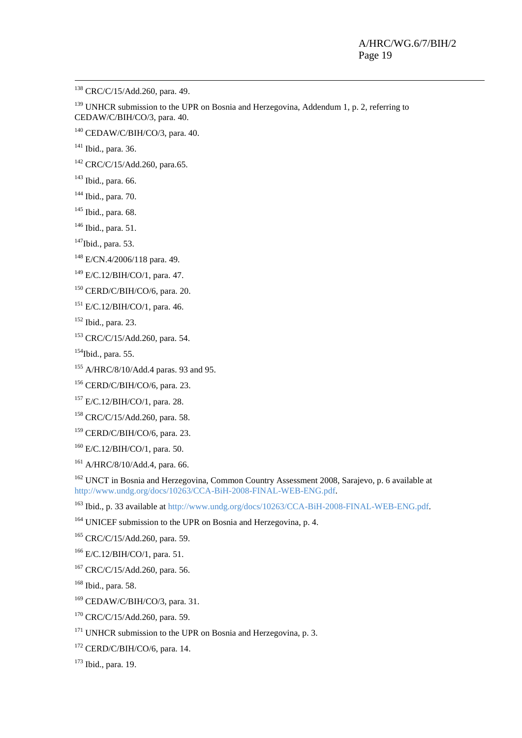<sup>138</sup> CRC/C/15/Add.260, para. 49.

 UNHCR submission to the UPR on Bosnia and Herzegovina, Addendum 1, p. 2, referring to CEDAW/C/BIH/CO/3, para. 40.

CEDAW/C/BIH/CO/3, para. 40.

<sup>141</sup> Ibid., para. 36.

-

CRC/C/15/Add.260, para.65.

Ibid., para. 66.

- Ibid., para. 70.
- Ibid., para. 68.
- Ibid., para. 51.
- Ibid., para. 53.
- E/CN.4/2006/118 para. 49.
- E/C.12/BIH/CO/1, para. 47.
- CERD/C/BIH/CO/6, para. 20.

E/C.12/BIH/CO/1, para. 46.

Ibid., para. 23.

CRC/C/15/Add.260, para. 54.

Ibid., para. 55.

- <sup>155</sup> A/HRC/8/10/Add.4 paras. 93 and 95.
- CERD/C/BIH/CO/6, para. 23.
- E/C.12/BIH/CO/1, para. 28.
- CRC/C/15/Add.260, para. 58.
- CERD/C/BIH/CO/6, para. 23.
- $^{160}$  E/C.12/BIH/CO/1, para. 50.
- A/HRC/8/10/Add.4, para. 66.

<sup>162</sup> UNCT in Bosnia and Herzegovina, Common Country Assessment 2008, Sarajevo, p. 6 available at [http://www.undg.org/docs/10263/CCA-BiH-2008-FINAL-WEB-ENG.pdf.](http://www.undg.org/docs/10263/CCA-BiH-2008-FINAL-WEB-ENG.pdf)

<sup>163</sup> Ibid., p. 33 available a[t http://www.undg.org/docs/10263/CCA-BiH-2008-FINAL-WEB-ENG.pdf.](http://www.undg.org/docs/10263/CCA-BiH-2008-FINAL-WEB-ENG.pdf)

<sup>164</sup> UNICEF submission to the UPR on Bosnia and Herzegovina, p. 4.

CRC/C/15/Add.260, para. 59.

- E/C.12/BIH/CO/1, para. 51.
- CRC/C/15/Add.260, para. 56.

Ibid., para. 58.

- CEDAW/C/BIH/CO/3, para. 31.
- <sup>170</sup> CRC/C/15/Add.260, para. 59.
- <sup>171</sup> UNHCR submission to the UPR on Bosnia and Herzegovina, p. 3.
- CERD/C/BIH/CO/6, para. 14.
- Ibid., para. 19.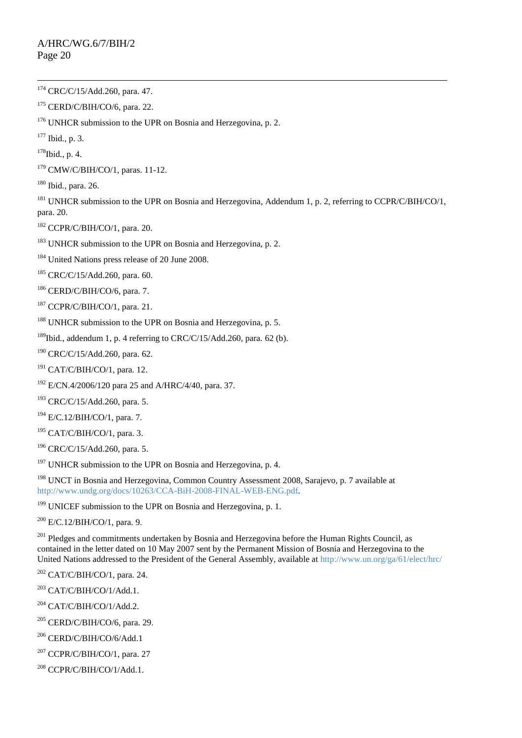CERD/C/BIH/CO/6, para. 22.

UNHCR submission to the UPR on Bosnia and Herzegovina, p. 2.

Ibid., p. 3.

Ibid., p. 4.

CMW/C/BIH/CO/1, paras. 11-12.

Ibid., para. 26.

<sup>181</sup> UNHCR submission to the UPR on Bosnia and Herzegovina, Addendum 1, p. 2, referring to CCPR/C/BIH/CO/1, para. 20.

CCPR/C/BIH/CO/1, para. 20.

<sup>183</sup> UNHCR submission to the UPR on Bosnia and Herzegovina, p. 2.

<sup>184</sup> United Nations press release of 20 June 2008.

CRC/C/15/Add.260, para. 60.

CERD/C/BIH/CO/6, para. 7.

CCPR/C/BIH/CO/1, para. 21.

UNHCR submission to the UPR on Bosnia and Herzegovina, p. 5.

<sup>189</sup>Ibid., addendum 1, p. 4 referring to CRC/C/15/Add.260, para. 62 (b).

CRC/C/15/Add.260, para. 62.

- CAT/C/BIH/CO/1, para. 12.
- E/CN.4/2006/120 para 25 and A/HRC/4/40, para. 37.

CRC/C/15/Add.260, para. 5.

E/C.12/BIH/CO/1, para. 7.

CAT/C/BIH/CO/1, para. 3.

CRC/C/15/Add.260, para. 5.

UNHCR submission to the UPR on Bosnia and Herzegovina, p. 4.

<sup>198</sup> UNCT in Bosnia and Herzegovina, Common Country Assessment 2008, Sarajevo, p. 7 available at [http://www.undg.org/docs/10263/CCA-BiH-2008-FINAL-WEB-ENG.pdf.](http://www.undg.org/docs/10263/CCA-BiH-2008-FINAL-WEB-ENG.pdf)

<sup>199</sup> UNICEF submission to the UPR on Bosnia and Herzegovina, p. 1.

E/C.12/BIH/CO/1, para. 9.

<sup>201</sup> Pledges and commitments undertaken by Bosnia and Herzegovina before the Human Rights Council, as contained in the letter dated on 10 May 2007 sent by the Permanent Mission of Bosnia and Herzegovina to the United Nations addressed to the President of the General Assembly, available at<http://www.un.org/ga/61/elect/hrc/>

CAT/C/BIH/CO/1, para. 24.

CAT/C/BIH/CO/1/Add.1.

CAT/C/BIH/CO/1/Add.2.

CERD/C/BIH/CO/6, para. 29.

CERD/C/BIH/CO/6/Add.1

CCPR/C/BIH/CO/1, para. 27

CCPR/C/BIH/CO/1/Add.1.

 $\overline{a}$ <sup>174</sup> CRC/C/15/Add.260, para. 47.